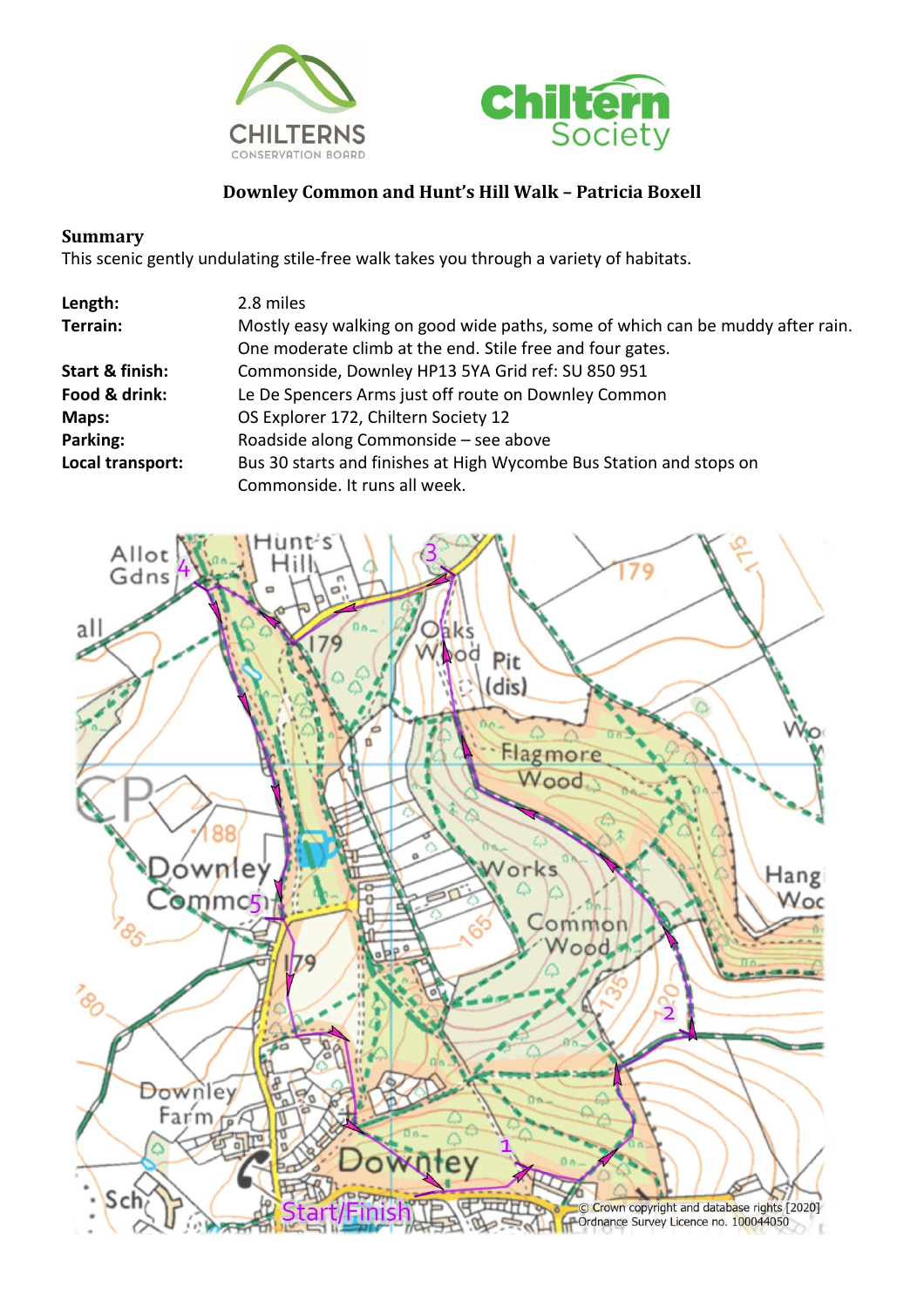



## **Downley Common and Hunt's Hill Walk – Patricia Boxell**

## **Summary**

This scenic gently undulating stile-free walk takes you through a variety of habitats.

| Length:          | 2.8 miles                                                                      |
|------------------|--------------------------------------------------------------------------------|
| Terrain:         | Mostly easy walking on good wide paths, some of which can be muddy after rain. |
|                  | One moderate climb at the end. Stile free and four gates.                      |
| Start & finish:  | Commonside, Downley HP13 5YA Grid ref: SU 850 951                              |
| Food & drink:    | Le De Spencers Arms just off route on Downley Common                           |
| Maps:            | OS Explorer 172, Chiltern Society 12                                           |
| Parking:         | Roadside along Commonside - see above                                          |
| Local transport: | Bus 30 starts and finishes at High Wycombe Bus Station and stops on            |
|                  | Commonside. It runs all week.                                                  |